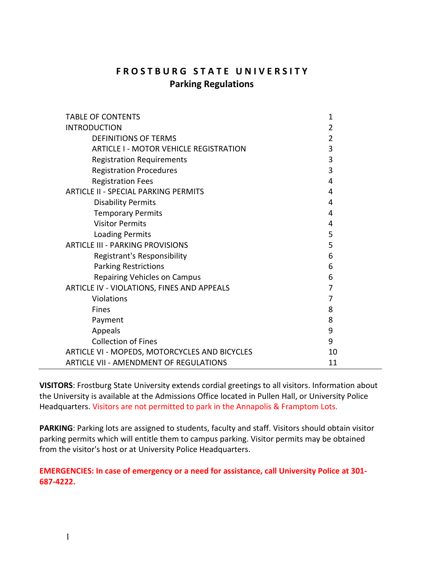# **F R O S T B U R G S T A T E U N I V E R S I T Y Parking Regulations**

| <b>TABLE OF CONTENTS</b>                      | 1              |
|-----------------------------------------------|----------------|
| <b>INTRODUCTION</b>                           | $\overline{2}$ |
| <b>DEFINITIONS OF TERMS</b>                   | 2              |
| <b>ARTICLE I - MOTOR VEHICLE REGISTRATION</b> | 3              |
| <b>Registration Requirements</b>              | 3              |
| <b>Registration Procedures</b>                | 3              |
| <b>Registration Fees</b>                      | 4              |
| <b>ARTICLE II - SPECIAL PARKING PERMITS</b>   | 4              |
| <b>Disability Permits</b>                     | 4              |
| <b>Temporary Permits</b>                      | 4              |
| <b>Visitor Permits</b>                        | 4              |
| <b>Loading Permits</b>                        | 5              |
| <b>ARTICLE III - PARKING PROVISIONS</b>       | 5              |
| Registrant's Responsibility                   | 6              |
| <b>Parking Restrictions</b>                   | 6              |
| <b>Repairing Vehicles on Campus</b>           | 6              |
| ARTICLE IV - VIOLATIONS, FINES AND APPEALS    | 7              |
| Violations                                    | 7              |
| <b>Fines</b>                                  | 8              |
| Payment                                       | 8              |
| Appeals                                       | 9              |
| <b>Collection of Fines</b>                    | 9              |
| ARTICLE VI - MOPEDS, MOTORCYCLES AND BICYCLES | 10             |
| ARTICLE VII - AMENDMENT OF REGULATIONS        | 11             |

**VISITORS**: Frostburg State University extends cordial greetings to all visitors. Information about the University is available at the Admissions Office located in Pullen Hall, or University Police Headquarters. Visitors are not permitted to park in the Annapolis & Framptom Lots.

**PARKING**: Parking lots are assigned to students, faculty and staff. Visitors should obtain visitor parking permits which will entitle them to campus parking. Visitor permits may be obtained from the visitor's host or at University Police Headquarters.

**EMERGENCIES: In case of emergency or a need for assistance, call University Police at 301- 687-4222.**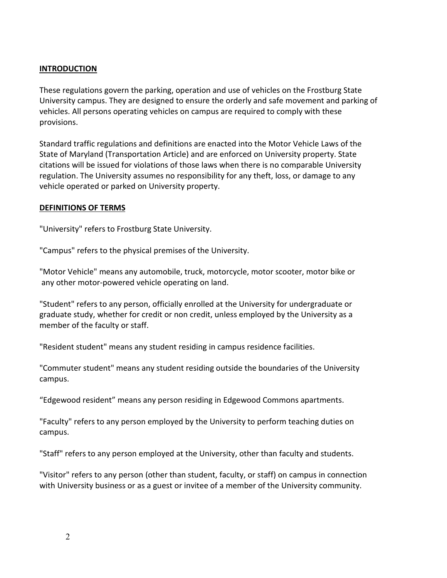#### **INTRODUCTION**

These regulations govern the parking, operation and use of vehicles on the Frostburg State University campus. They are designed to ensure the orderly and safe movement and parking of vehicles. All persons operating vehicles on campus are required to comply with these provisions.

Standard traffic regulations and definitions are enacted into the Motor Vehicle Laws of the State of Maryland (Transportation Article) and are enforced on University property. State citations will be issued for violations of those laws when there is no comparable University regulation. The University assumes no responsibility for any theft, loss, or damage to any vehicle operated or parked on University property.

#### **DEFINITIONS OF TERMS**

"University" refers to Frostburg State University.

"Campus" refers to the physical premises of the University.

"Motor Vehicle" means any automobile, truck, motorcycle, motor scooter, motor bike or any other motor-powered vehicle operating on land.

"Student" refers to any person, officially enrolled at the University for undergraduate or graduate study, whether for credit or non credit, unless employed by the University as a member of the faculty or staff.

"Resident student" means any student residing in campus residence facilities.

"Commuter student" means any student residing outside the boundaries of the University campus.

"Edgewood resident" means any person residing in Edgewood Commons apartments.

"Faculty" refers to any person employed by the University to perform teaching duties on campus.

"Staff" refers to any person employed at the University, other than faculty and students.

"Visitor" refers to any person (other than student, faculty, or staff) on campus in connection with University business or as a guest or invitee of a member of the University community.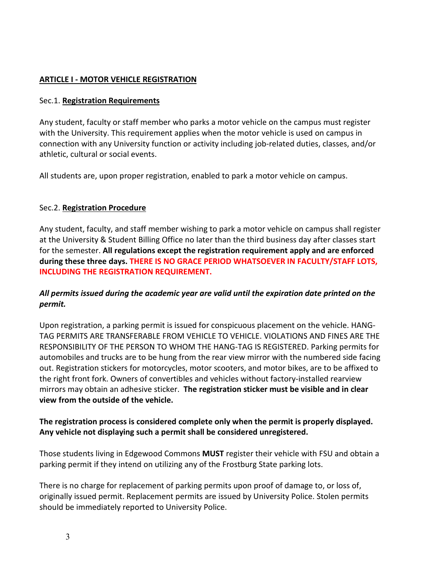#### **ARTICLE I - MOTOR VEHICLE REGISTRATION**

#### Sec.1. **Registration Requirements**

Any student, faculty or staff member who parks a motor vehicle on the campus must register with the University. This requirement applies when the motor vehicle is used on campus in connection with any University function or activity including job-related duties, classes, and/or athletic, cultural or social events.

All students are, upon proper registration, enabled to park a motor vehicle on campus.

#### Sec.2. **Registration Procedure**

Any student, faculty, and staff member wishing to park a motor vehicle on campus shall register at the University & Student Billing Office no later than the third business day after classes start for the semester. **All regulations except the registration requirement apply and are enforced during these three days. THERE IS NO GRACE PERIOD WHATSOEVER IN FACULTY/STAFF LOTS, INCLUDING THE REGISTRATION REQUIREMENT.**

# *All permits issued during the academic year are valid until the expiration date printed on the permit.*

Upon registration, a parking permit is issued for conspicuous placement on the vehicle. HANG-TAG PERMITS ARE TRANSFERABLE FROM VEHICLE TO VEHICLE. VIOLATIONS AND FINES ARE THE RESPONSIBILITY OF THE PERSON TO WHOM THE HANG-TAG IS REGISTERED. Parking permits for automobiles and trucks are to be hung from the rear view mirror with the numbered side facing out. Registration stickers for motorcycles, motor scooters, and motor bikes, are to be affixed to the right front fork. Owners of convertibles and vehicles without factory-installed rearview mirrors may obtain an adhesive sticker. **The registration sticker must be visible and in clear view from the outside of the vehicle.**

# **The registration process is considered complete only when the permit is properly displayed. Any vehicle not displaying such a permit shall be considered unregistered.**

Those students living in Edgewood Commons **MUST** register their vehicle with FSU and obtain a parking permit if they intend on utilizing any of the Frostburg State parking lots.

There is no charge for replacement of parking permits upon proof of damage to, or loss of, originally issued permit. Replacement permits are issued by University Police. Stolen permits should be immediately reported to University Police.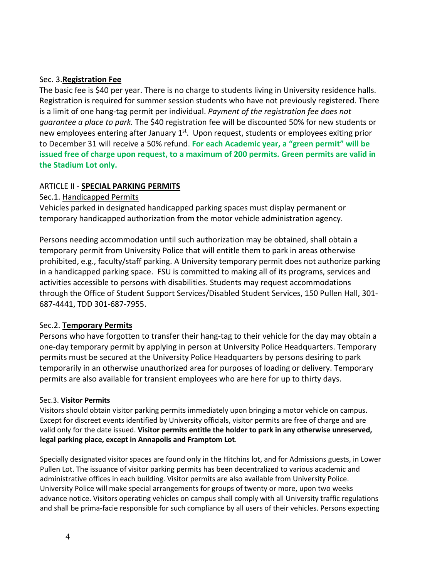#### Sec. 3.**Registration Fee**

The basic fee is \$40 per year. There is no charge to students living in University residence halls. Registration is required for summer session students who have not previously registered. There is a limit of one hang-tag permit per individual. *Payment of the registration fee does not guarantee a place to park.* The \$40 registration fee will be discounted 50% for new students or new employees entering after January  $1<sup>st</sup>$ . Upon request, students or employees exiting prior to December 31 will receive a 50% refund. **For each Academic year, a "green permit" will be issued free of charge upon request, to a maximum of 200 permits. Green permits are valid in the Stadium Lot only.**

#### ARTICLE II - **SPECIAL PARKING PERMITS**

Sec.1. Handicapped Permits

Vehicles parked in designated handicapped parking spaces must display permanent or temporary handicapped authorization from the motor vehicle administration agency.

Persons needing accommodation until such authorization may be obtained, shall obtain a temporary permit from University Police that will entitle them to park in areas otherwise prohibited, e.g., faculty/staff parking. A University temporary permit does not authorize parking in a handicapped parking space. FSU is committed to making all of its programs, services and activities accessible to persons with disabilities. Students may request accommodations through the Office of Student Support Services/Disabled Student Services, 150 Pullen Hall, 301- 687-4441, TDD 301-687-7955.

#### Sec.2. **Temporary Permits**

Persons who have forgotten to transfer their hang-tag to their vehicle for the day may obtain a one-day temporary permit by applying in person at University Police Headquarters. Temporary permits must be secured at the University Police Headquarters by persons desiring to park temporarily in an otherwise unauthorized area for purposes of loading or delivery. Temporary permits are also available for transient employees who are here for up to thirty days.

#### Sec.3. **Visitor Permits**

Visitors should obtain visitor parking permits immediately upon bringing a motor vehicle on campus. Except for discreet events identified by University officials, visitor permits are free of charge and are valid only for the date issued. **Visitor permits entitle the holder to park in any otherwise unreserved, legal parking place, except in Annapolis and Framptom Lot**.

Specially designated visitor spaces are found only in the Hitchins lot, and for Admissions guests, in Lower Pullen Lot. The issuance of visitor parking permits has been decentralized to various academic and administrative offices in each building. Visitor permits are also available from University Police. University Police will make special arrangements for groups of twenty or more, upon two weeks advance notice. Visitors operating vehicles on campus shall comply with all University traffic regulations and shall be prima-facie responsible for such compliance by all users of their vehicles. Persons expecting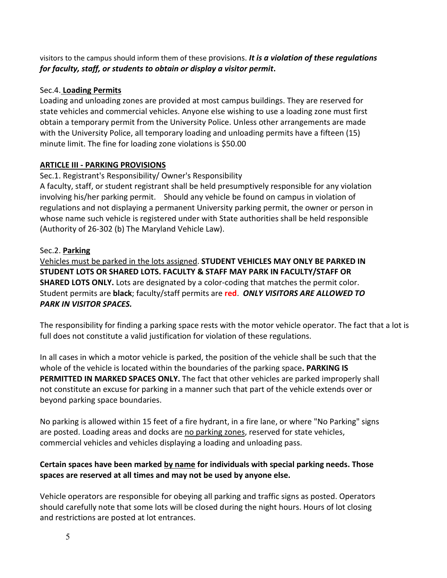visitors to the campus should inform them of these provisions. *It is a violation of these regulations for faculty, staff, or students to obtain or display a visitor permit***.**

# Sec.4. **Loading Permits**

Loading and unloading zones are provided at most campus buildings. They are reserved for state vehicles and commercial vehicles. Anyone else wishing to use a loading zone must first obtain a temporary permit from the University Police. Unless other arrangements are made with the University Police, all temporary loading and unloading permits have a fifteen (15) minute limit. The fine for loading zone violations is \$50.00

# **ARTICLE III - PARKING PROVISIONS**

# Sec.1. Registrant's Responsibility/ Owner's Responsibility

A faculty, staff, or student registrant shall be held presumptively responsible for any violation involving his/her parking permit. Should any vehicle be found on campus in violation of regulations and not displaying a permanent University parking permit, the owner or person in whose name such vehicle is registered under with State authorities shall be held responsible (Authority of 26-302 (b) The Maryland Vehicle Law).

# Sec.2. **Parking**

Vehicles must be parked in the lots assigned. **STUDENT VEHICLES MAY ONLY BE PARKED IN STUDENT LOTS OR SHARED LOTS. FACULTY & STAFF MAY PARK IN FACULTY/STAFF OR SHARED LOTS ONLY.** Lots are designated by a color-coding that matches the permit color. Student permits are **black**; faculty/staff permits are **red**. *ONLY VISITORS ARE ALLOWED TO PARK IN VISITOR SPACES.*

The responsibility for finding a parking space rests with the motor vehicle operator. The fact that a lot is full does not constitute a valid justification for violation of these regulations.

In all cases in which a motor vehicle is parked, the position of the vehicle shall be such that the whole of the vehicle is located within the boundaries of the parking space**. PARKING IS PERMITTED IN MARKED SPACES ONLY.** The fact that other vehicles are parked improperly shall not constitute an excuse for parking in a manner such that part of the vehicle extends over or beyond parking space boundaries.

No parking is allowed within 15 feet of a fire hydrant, in a fire lane, or where "No Parking" signs are posted. Loading areas and docks are no parking zones, reserved for state vehicles, commercial vehicles and vehicles displaying a loading and unloading pass.

# **Certain spaces have been marked by name for individuals with special parking needs. Those spaces are reserved at all times and may not be used by anyone else.**

Vehicle operators are responsible for obeying all parking and traffic signs as posted. Operators should carefully note that some lots will be closed during the night hours. Hours of lot closing and restrictions are posted at lot entrances.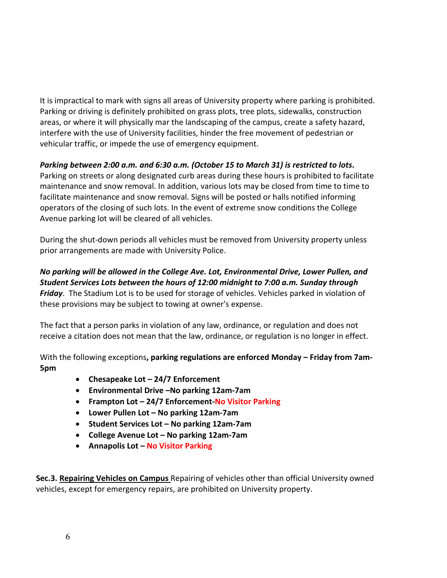It is impractical to mark with signs all areas of University property where parking is prohibited. Parking or driving is definitely prohibited on grass plots, tree plots, sidewalks, construction areas, or where it will physically mar the landscaping of the campus, create a safety hazard, interfere with the use of University facilities, hinder the free movement of pedestrian or vehicular traffic, or impede the use of emergency equipment.

# *Parking between 2:00 a.m. and 6:30 a.m. (October 15 to March 31) is restricted to lots***.**

Parking on streets or along designated curb areas during these hours is prohibited to facilitate maintenance and snow removal. In addition, various lots may be closed from time to time to facilitate maintenance and snow removal. Signs will be posted or halls notified informing operators of the closing of such lots. In the event of extreme snow conditions the College Avenue parking lot will be cleared of all vehicles.

During the shut-down periods all vehicles must be removed from University property unless prior arrangements are made with University Police.

*No parking will be allowed in the College Ave. Lot, Environmental Drive, Lower Pullen, and Student Services Lots between the hours of 12:00 midnight to 7:00 a.m. Sunday through Friday*. The Stadium Lot is to be used for storage of vehicles. Vehicles parked in violation of these provisions may be subject to towing at owner's expense.

The fact that a person parks in violation of any law, ordinance, or regulation and does not receive a citation does not mean that the law, ordinance, or regulation is no longer in effect.

With the following exceptions**, parking regulations are enforced Monday – Friday from 7am-5pm**

- **Chesapeake Lot – 24/7 Enforcement**
- **Environmental Drive –No parking 12am-7am**
- **Frampton Lot – 24/7 Enforcement-No Visitor Parking**
- **Lower Pullen Lot – No parking 12am-7am**
- **Student Services Lot – No parking 12am-7am**
- **College Avenue Lot – No parking 12am-7am**
- **Annapolis Lot – No Visitor Parking**

**Sec.3. Repairing Vehicles on Campus** Repairing of vehicles other than official University owned vehicles, except for emergency repairs, are prohibited on University property.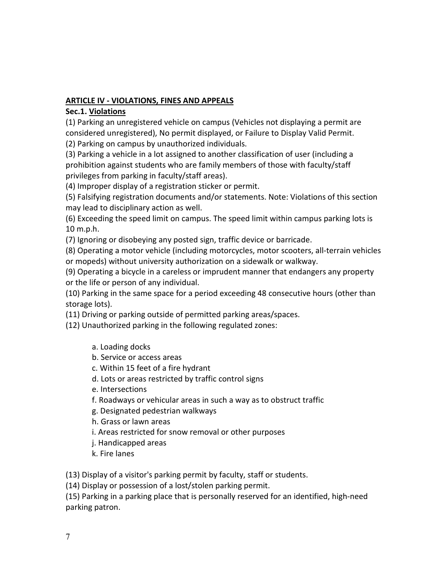## **ARTICLE IV - VIOLATIONS, FINES AND APPEALS**

#### **Sec.1. Violations**

(1) Parking an unregistered vehicle on campus (Vehicles not displaying a permit are considered unregistered), No permit displayed, or Failure to Display Valid Permit.

(2) Parking on campus by unauthorized individuals.

(3) Parking a vehicle in a lot assigned to another classification of user (including a prohibition against students who are family members of those with faculty/staff privileges from parking in faculty/staff areas).

(4) Improper display of a registration sticker or permit.

(5) Falsifying registration documents and/or statements. Note: Violations of this section may lead to disciplinary action as well.

(6) Exceeding the speed limit on campus. The speed limit within campus parking lots is 10 m.p.h.

(7) Ignoring or disobeying any posted sign, traffic device or barricade.

(8) Operating a motor vehicle (including motorcycles, motor scooters, all-terrain vehicles or mopeds) without university authorization on a sidewalk or walkway.

(9) Operating a bicycle in a careless or imprudent manner that endangers any property or the life or person of any individual.

(10) Parking in the same space for a period exceeding 48 consecutive hours (other than storage lots).

(11) Driving or parking outside of permitted parking areas/spaces.

(12) Unauthorized parking in the following regulated zones:

- a. Loading docks
- b. Service or access areas
- c. Within 15 feet of a fire hydrant
- d. Lots or areas restricted by traffic control signs
- e. Intersections
- f. Roadways or vehicular areas in such a way as to obstruct traffic
- g. Designated pedestrian walkways
- h. Grass or lawn areas
- i. Areas restricted for snow removal or other purposes
- j. Handicapped areas
- k. Fire lanes

(13) Display of a visitor's parking permit by faculty, staff or students.

(14) Display or possession of a lost/stolen parking permit.

(15) Parking in a parking place that is personally reserved for an identified, high-need parking patron.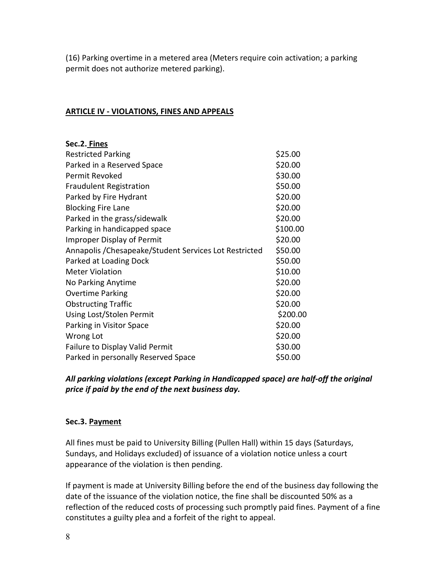(16) Parking overtime in a metered area (Meters require coin activation; a parking permit does not authorize metered parking).

#### **ARTICLE IV - VIOLATIONS, FINES AND APPEALS**

| Sec.2. Fines                                           |          |
|--------------------------------------------------------|----------|
| <b>Restricted Parking</b>                              | \$25.00  |
| Parked in a Reserved Space                             | \$20.00  |
| Permit Revoked                                         | \$30.00  |
| <b>Fraudulent Registration</b>                         | \$50.00  |
| Parked by Fire Hydrant                                 | \$20.00  |
| <b>Blocking Fire Lane</b>                              | \$20.00  |
| Parked in the grass/sidewalk                           | \$20.00  |
| Parking in handicapped space                           | \$100.00 |
| <b>Improper Display of Permit</b>                      | \$20.00  |
| Annapolis / Chesapeake/Student Services Lot Restricted | \$50.00  |
| Parked at Loading Dock                                 | \$50.00  |
| <b>Meter Violation</b>                                 | \$10.00  |
| No Parking Anytime                                     | \$20.00  |
| <b>Overtime Parking</b>                                | \$20.00  |
| <b>Obstructing Traffic</b>                             | \$20.00  |
| Using Lost/Stolen Permit                               | \$200.00 |
| Parking in Visitor Space                               | \$20.00  |
| Wrong Lot                                              | \$20.00  |
| Failure to Display Valid Permit                        | \$30.00  |
| Parked in personally Reserved Space                    | \$50.00  |

*All parking violations (except Parking in Handicapped space) are half-off the original price if paid by the end of the next business day.*

# **Sec.3. Payment**

All fines must be paid to University Billing (Pullen Hall) within 15 days (Saturdays, Sundays, and Holidays excluded) of issuance of a violation notice unless a court appearance of the violation is then pending.

If payment is made at University Billing before the end of the business day following the date of the issuance of the violation notice, the fine shall be discounted 50% as a reflection of the reduced costs of processing such promptly paid fines. Payment of a fine constitutes a guilty plea and a forfeit of the right to appeal.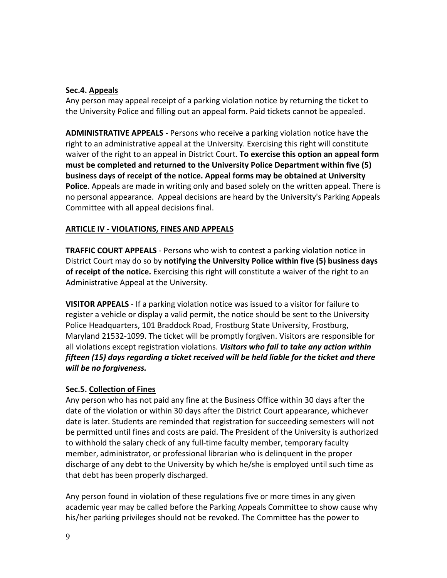#### **Sec.4. Appeals**

Any person may appeal receipt of a parking violation notice by returning the ticket to the University Police and filling out an appeal form. Paid tickets cannot be appealed.

**ADMINISTRATIVE APPEALS** - Persons who receive a parking violation notice have the right to an administrative appeal at the University. Exercising this right will constitute waiver of the right to an appeal in District Court. **To exercise this option an appeal form must be completed and returned to the University Police Department within five (5) business days of receipt of the notice. Appeal forms may be obtained at University Police**. Appeals are made in writing only and based solely on the written appeal. There is no personal appearance. Appeal decisions are heard by the University's Parking Appeals Committee with all appeal decisions final.

# **ARTICLE IV - VIOLATIONS, FINES AND APPEALS**

**TRAFFIC COURT APPEALS** - Persons who wish to contest a parking violation notice in District Court may do so by **notifying the University Police within five (5) business days of receipt of the notice.** Exercising this right will constitute a waiver of the right to an Administrative Appeal at the University.

**VISITOR APPEALS** - If a parking violation notice was issued to a visitor for failure to register a vehicle or display a valid permit, the notice should be sent to the University Police Headquarters, 101 Braddock Road, Frostburg State University, Frostburg, Maryland 21532-1099. The ticket will be promptly forgiven. Visitors are responsible for all violations except registration violations. *Visitors who fail to take any action within fifteen (15) days regarding a ticket received will be held liable for the ticket and there will be no forgiveness.*

# **Sec.5. Collection of Fines**

Any person who has not paid any fine at the Business Office within 30 days after the date of the violation or within 30 days after the District Court appearance, whichever date is later. Students are reminded that registration for succeeding semesters will not be permitted until fines and costs are paid. The President of the University is authorized to withhold the salary check of any full-time faculty member, temporary faculty member, administrator, or professional librarian who is delinquent in the proper discharge of any debt to the University by which he/she is employed until such time as that debt has been properly discharged.

Any person found in violation of these regulations five or more times in any given academic year may be called before the Parking Appeals Committee to show cause why his/her parking privileges should not be revoked. The Committee has the power to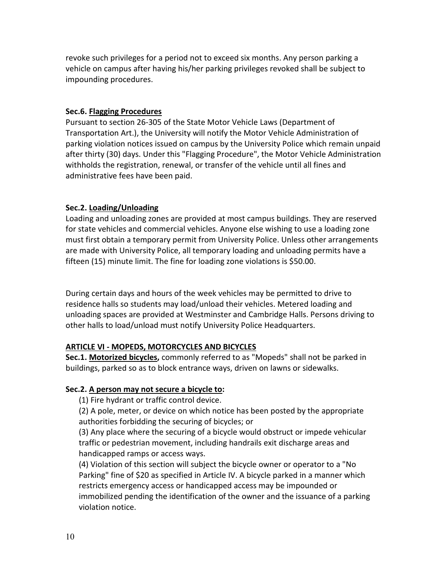revoke such privileges for a period not to exceed six months. Any person parking a vehicle on campus after having his/her parking privileges revoked shall be subject to impounding procedures.

#### **Sec.6. Flagging Procedures**

Pursuant to section 26-305 of the State Motor Vehicle Laws (Department of Transportation Art.), the University will notify the Motor Vehicle Administration of parking violation notices issued on campus by the University Police which remain unpaid after thirty (30) days. Under this "Flagging Procedure", the Motor Vehicle Administration withholds the registration, renewal, or transfer of the vehicle until all fines and administrative fees have been paid.

#### **Sec.2. Loading/Unloading**

Loading and unloading zones are provided at most campus buildings. They are reserved for state vehicles and commercial vehicles. Anyone else wishing to use a loading zone must first obtain a temporary permit from University Police. Unless other arrangements are made with University Police, all temporary loading and unloading permits have a fifteen (15) minute limit. The fine for loading zone violations is \$50.00.

During certain days and hours of the week vehicles may be permitted to drive to residence halls so students may load/unload their vehicles. Metered loading and unloading spaces are provided at Westminster and Cambridge Halls. Persons driving to other halls to load/unload must notify University Police Headquarters.

# **ARTICLE VI - MOPEDS, MOTORCYCLES AND BICYCLES**

**Sec.1. Motorized bicycles,** commonly referred to as "Mopeds" shall not be parked in buildings, parked so as to block entrance ways, driven on lawns or sidewalks.

#### **Sec.2. A person may not secure a bicycle to:**

(1) Fire hydrant or traffic control device.

(2) A pole, meter, or device on which notice has been posted by the appropriate authorities forbidding the securing of bicycles; or

(3) Any place where the securing of a bicycle would obstruct or impede vehicular traffic or pedestrian movement, including handrails exit discharge areas and handicapped ramps or access ways.

(4) Violation of this section will subject the bicycle owner or operator to a "No Parking" fine of \$20 as specified in Article IV. A bicycle parked in a manner which restricts emergency access or handicapped access may be impounded or immobilized pending the identification of the owner and the issuance of a parking violation notice.